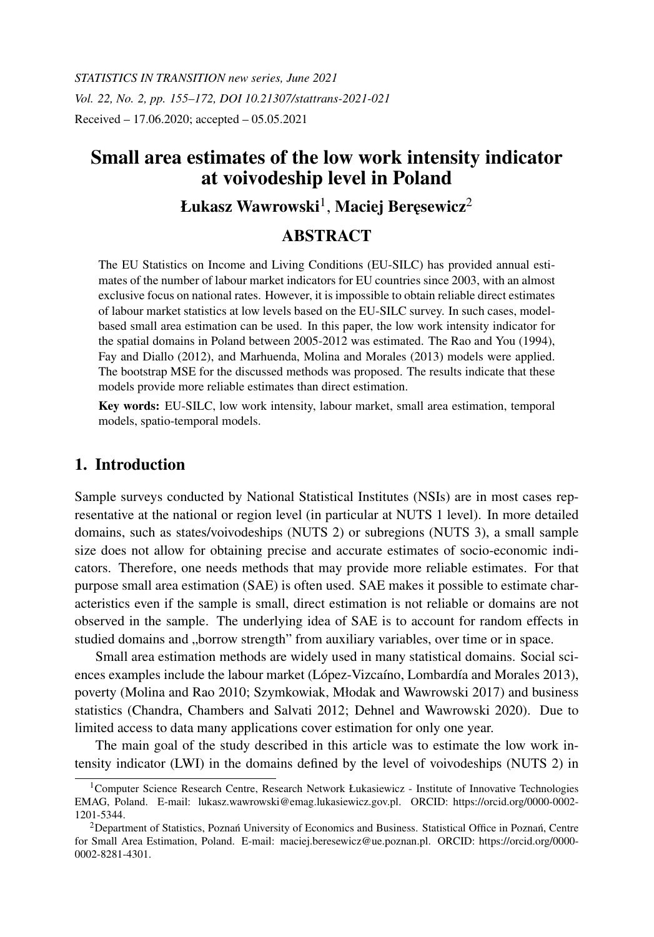*STATISTICS IN TRANSITION new series, June 2021 Vol. 22, No. 2, pp. 155–172, DOI 10.21307/stattrans-2021-021* Received – 17.06.2020; accepted – 05.05.2021

# Small area estimates of the low work intensity indicator at voivodeship level in Poland

# Łukasz Wawrowski $^{\rm l}$ , Maciej Beręsewicz $^{\rm 2}$

# ABSTRACT

The EU Statistics on Income and Living Conditions (EU-SILC) has provided annual estimates of the number of labour market indicators for EU countries since 2003, with an almost exclusive focus on national rates. However, it is impossible to obtain reliable direct estimates of labour market statistics at low levels based on the EU-SILC survey. In such cases, modelbased small area estimation can be used. In this paper, the low work intensity indicator for the spatial domains in Poland between 2005-2012 was estimated. The Rao and You (1994), Fay and Diallo (2012), and Marhuenda, Molina and Morales (2013) models were applied. The bootstrap MSE for the discussed methods was proposed. The results indicate that these models provide more reliable estimates than direct estimation.

Key words: EU-SILC, low work intensity, labour market, small area estimation, temporal models, spatio-temporal models.

# 1. Introduction

Sample surveys conducted by National Statistical Institutes (NSIs) are in most cases representative at the national or region level (in particular at NUTS 1 level). In more detailed domains, such as states/voivodeships (NUTS 2) or subregions (NUTS 3), a small sample size does not allow for obtaining precise and accurate estimates of socio-economic indicators. Therefore, one needs methods that may provide more reliable estimates. For that purpose small area estimation (SAE) is often used. SAE makes it possible to estimate characteristics even if the sample is small, direct estimation is not reliable or domains are not observed in the sample. The underlying idea of SAE is to account for random effects in studied domains and "borrow strength" from auxiliary variables, over time or in space.

Small area estimation methods are widely used in many statistical domains. Social sciences examples include the labour market (López-Vizcaíno, Lombardía and Morales 2013), poverty (Molina and Rao 2010; Szymkowiak, Młodak and Wawrowski 2017) and business statistics (Chandra, Chambers and Salvati 2012; Dehnel and Wawrowski 2020). Due to limited access to data many applications cover estimation for only one year.

The main goal of the study described in this article was to estimate the low work intensity indicator (LWI) in the domains defined by the level of voivodeships (NUTS 2) in

<sup>&</sup>lt;sup>1</sup>Computer Science Research Centre, Research Network Łukasiewicz - Institute of Innovative Technologies EMAG, Poland. E-mail: lukasz.wawrowski@emag.lukasiewicz.gov.pl. ORCID: https://orcid.org/0000-0002- 1201-5344.

 $2$ Department of Statistics, Poznań University of Economics and Business. Statistical Office in Poznań, Centre for Small Area Estimation, Poland. E-mail: maciej.beresewicz@ue.poznan.pl. ORCID: https://orcid.org/0000- 0002-8281-4301.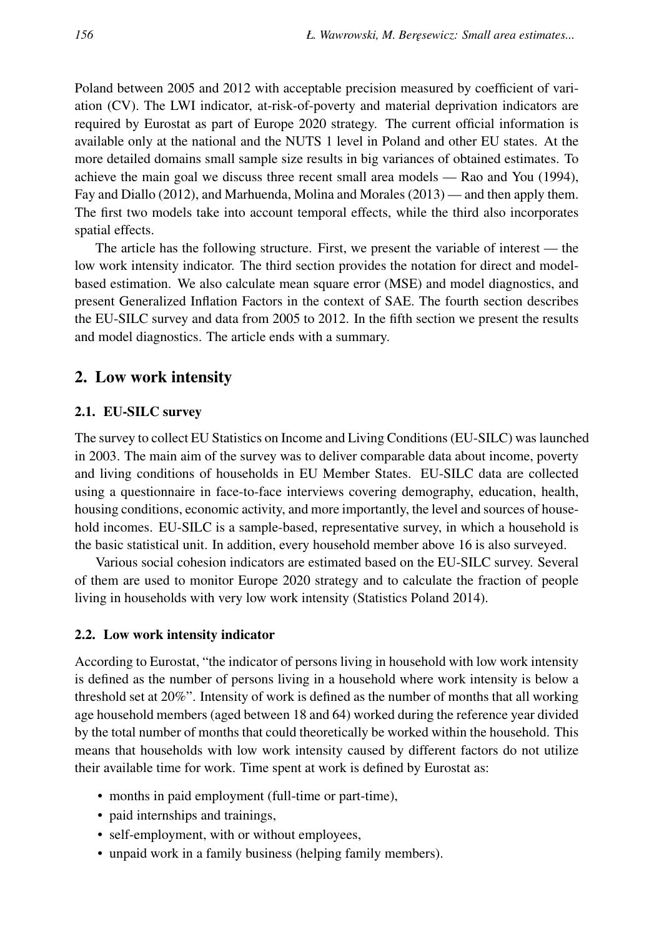Poland between 2005 and 2012 with acceptable precision measured by coefficient of variation (CV). The LWI indicator, at-risk-of-poverty and material deprivation indicators are required by Eurostat as part of Europe 2020 strategy. The current official information is available only at the national and the NUTS 1 level in Poland and other EU states. At the more detailed domains small sample size results in big variances of obtained estimates. To achieve the main goal we discuss three recent small area models — Rao and You (1994), Fay and Diallo (2012), and Marhuenda, Molina and Morales (2013) — and then apply them. The first two models take into account temporal effects, while the third also incorporates spatial effects.

The article has the following structure. First, we present the variable of interest — the low work intensity indicator. The third section provides the notation for direct and modelbased estimation. We also calculate mean square error (MSE) and model diagnostics, and present Generalized Inflation Factors in the context of SAE. The fourth section describes the EU-SILC survey and data from 2005 to 2012. In the fifth section we present the results and model diagnostics. The article ends with a summary.

# 2. Low work intensity

### 2.1. EU-SILC survey

The survey to collect EU Statistics on Income and Living Conditions (EU-SILC) was launched in 2003. The main aim of the survey was to deliver comparable data about income, poverty and living conditions of households in EU Member States. EU-SILC data are collected using a questionnaire in face-to-face interviews covering demography, education, health, housing conditions, economic activity, and more importantly, the level and sources of household incomes. EU-SILC is a sample-based, representative survey, in which a household is the basic statistical unit. In addition, every household member above 16 is also surveyed.

Various social cohesion indicators are estimated based on the EU-SILC survey. Several of them are used to monitor Europe 2020 strategy and to calculate the fraction of people living in households with very low work intensity (Statistics Poland 2014).

#### 2.2. Low work intensity indicator

According to Eurostat, "the indicator of persons living in household with low work intensity is defined as the number of persons living in a household where work intensity is below a threshold set at 20%". Intensity of work is defined as the number of months that all working age household members (aged between 18 and 64) worked during the reference year divided by the total number of months that could theoretically be worked within the household. This means that households with low work intensity caused by different factors do not utilize their available time for work. Time spent at work is defined by Eurostat as:

- months in paid employment (full-time or part-time),
- paid internships and trainings,
- self-employment, with or without employees,
- unpaid work in a family business (helping family members).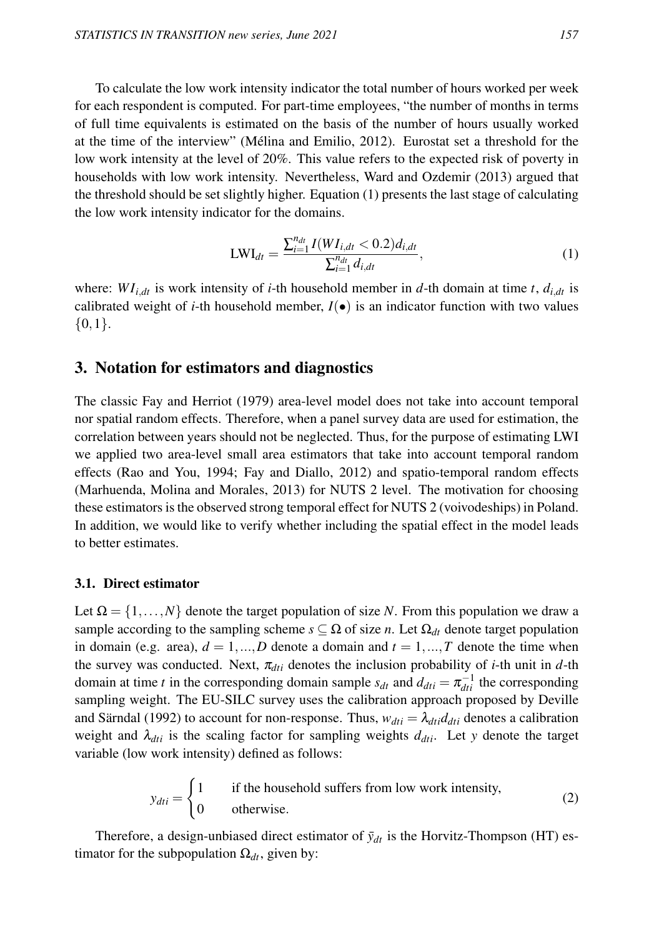To calculate the low work intensity indicator the total number of hours worked per week for each respondent is computed. For part-time employees, "the number of months in terms of full time equivalents is estimated on the basis of the number of hours usually worked at the time of the interview" (Mélina and Emilio, 2012). Eurostat set a threshold for the low work intensity at the level of 20%. This value refers to the expected risk of poverty in households with low work intensity. Nevertheless, Ward and Ozdemir (2013) argued that the threshold should be set slightly higher. Equation (1) presents the last stage of calculating the low work intensity indicator for the domains.

$$
LWI_{dt} = \frac{\sum_{i=1}^{n_{dt}} I(WI_{i,dt} < 0.2)d_{i,dt}}{\sum_{i=1}^{n_{dt}} d_{i,dt}},\tag{1}
$$

where:  $WI_{i,dt}$  is work intensity of *i*-th household member in *d*-th domain at time *t*,  $d_{i,dt}$  is calibrated weight of *i*-th household member,  $I(\bullet)$  is an indicator function with two values  $\{0,1\}.$ 

# 3. Notation for estimators and diagnostics

The classic Fay and Herriot (1979) area-level model does not take into account temporal nor spatial random effects. Therefore, when a panel survey data are used for estimation, the correlation between years should not be neglected. Thus, for the purpose of estimating LWI we applied two area-level small area estimators that take into account temporal random effects (Rao and You, 1994; Fay and Diallo, 2012) and spatio-temporal random effects (Marhuenda, Molina and Morales, 2013) for NUTS 2 level. The motivation for choosing these estimators is the observed strong temporal effect for NUTS 2 (voivodeships) in Poland. In addition, we would like to verify whether including the spatial effect in the model leads to better estimates.

#### 3.1. Direct estimator

Let  $\Omega = \{1, \ldots, N\}$  denote the target population of size *N*. From this population we draw a sample according to the sampling scheme  $s \subseteq \Omega$  of size *n*. Let  $\Omega_{dt}$  denote target population in domain (e.g. area),  $d = 1,...,D$  denote a domain and  $t = 1,...,T$  denote the time when the survey was conducted. Next,  $\pi_{di}$  denotes the inclusion probability of *i*-th unit in *d*-th domain at time *t* in the corresponding domain sample  $s_{dt}$  and  $d_{dti} = \pi_{dti}^{-1}$  the corresponding sampling weight. The EU-SILC survey uses the calibration approach proposed by Deville and Särndal (1992) to account for non-response. Thus,  $w_{di} = \lambda_{di} d_{di}$  denotes a calibration weight and  $\lambda_{dti}$  is the scaling factor for sampling weights  $d_{dti}$ . Let *y* denote the target variable (low work intensity) defined as follows:

$$
y_{dii} = \begin{cases} 1 & \text{if the household suffers from low work intensity,} \\ 0 & \text{otherwise.} \end{cases}
$$
 (2)

Therefore, a design-unbiased direct estimator of  $\bar{y}_{dt}$  is the Horvitz-Thompson (HT) estimator for the subpopulation  $\Omega_{dt}$ , given by: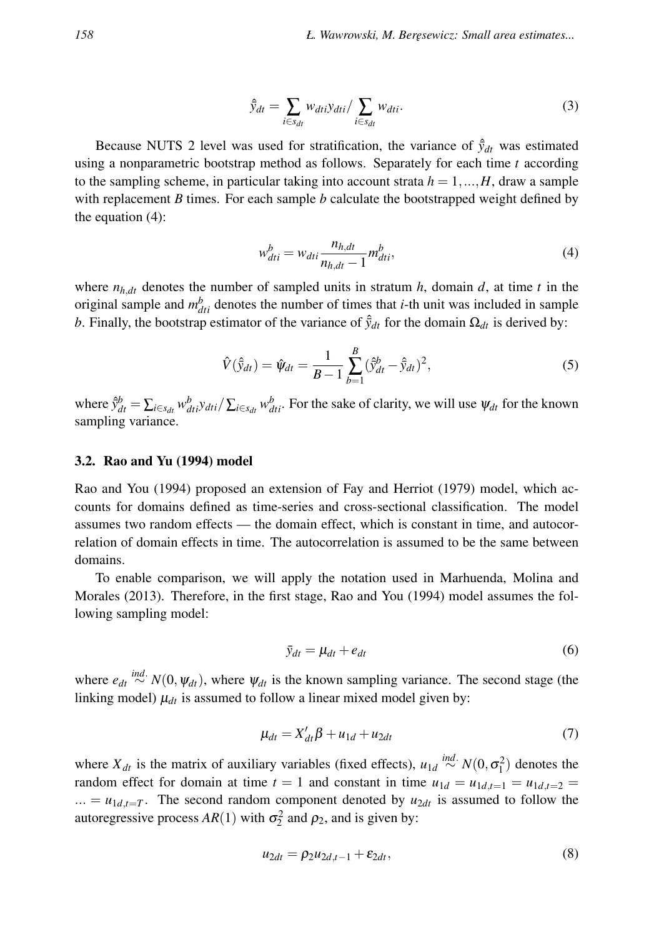$$
\hat{\bar{y}}_{dt} = \sum_{i \in s_{dt}} w_{dti} y_{dti} / \sum_{i \in s_{dt}} w_{dti}.
$$
\n(3)

Because NUTS 2 level was used for stratification, the variance of  $\hat{y}_{dt}$  was estimated using a nonparametric bootstrap method as follows. Separately for each time *t* according to the sampling scheme, in particular taking into account strata  $h = 1, ..., H$ , draw a sample with replacement *B* times. For each sample *b* calculate the bootstrapped weight defined by the equation (4):

$$
w_{dti}^b = w_{dti} \frac{n_{h,dt}}{n_{h,dt} - 1} m_{dti}^b,
$$
\n<sup>(4)</sup>

where  $n_{h,dt}$  denotes the number of sampled units in stratum *h*, domain *d*, at time *t* in the original sample and  $m_{dti}^b$  denotes the number of times that *i*-th unit was included in sample *b*. Finally, the bootstrap estimator of the variance of  $\hat{y}_{dt}$  for the domain  $\Omega_{dt}$  is derived by:

$$
\hat{V}(\hat{y}_{dt}) = \hat{\psi}_{dt} = \frac{1}{B-1} \sum_{b=1}^{B} (\hat{y}_{dt}^{b} - \hat{y}_{dt})^{2},
$$
\n(5)

where  $\hat{y}_{dt}^b = \sum_{i \in s_{dt}} w_{dti}^b y_{dti} / \sum_{i \in s_{dt}} w_{dti}^b$ . For the sake of clarity, we will use  $\psi_{dt}$  for the known sampling variance.

#### 3.2. Rao and Yu (1994) model

Rao and You (1994) proposed an extension of Fay and Herriot (1979) model, which accounts for domains defined as time-series and cross-sectional classification. The model assumes two random effects — the domain effect, which is constant in time, and autocorrelation of domain effects in time. The autocorrelation is assumed to be the same between domains.

To enable comparison, we will apply the notation used in Marhuenda, Molina and Morales (2013). Therefore, in the first stage, Rao and You (1994) model assumes the following sampling model:

$$
\bar{y}_{dt} = \mu_{dt} + e_{dt} \tag{6}
$$

where  $e_{dt} \stackrel{ind.}{\sim} N(0, \psi_{dt})$ , where  $\psi_{dt}$  is the known sampling variance. The second stage (the linking model)  $\mu_{dt}$  is assumed to follow a linear mixed model given by:

$$
\mu_{dt} = X'_{dt}\beta + u_{1d} + u_{2dt} \tag{7}
$$

where  $X_{dt}$  is the matrix of auxiliary variables (fixed effects),  $u_{1d} \stackrel{ind.}{\sim} N(0, \sigma_1^2)$  denotes the random effect for domain at time  $t = 1$  and constant in time  $u_{1d} = u_{1d,t=1} = u_{1d,t=2}$ ... =  $u_{1d,t=T}$ . The second random component denoted by  $u_{2dt}$  is assumed to follow the autoregressive process  $AR(1)$  with  $\sigma_2^2$  and  $\rho_2$ , and is given by:

$$
u_{2dt} = \rho_2 u_{2d,t-1} + \varepsilon_{2dt},\tag{8}
$$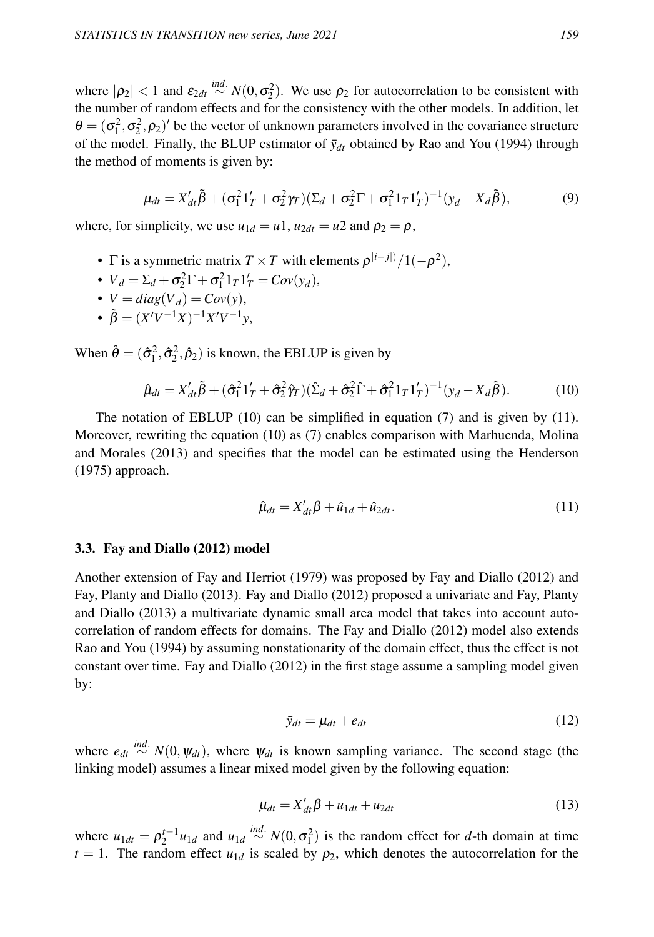where  $|\rho_2| < 1$  and  $\varepsilon_{2dt} \stackrel{ind.}{\sim} N(0, \sigma_2^2)$ . We use  $\rho_2$  for autocorrelation to be consistent with the number of random effects and for the consistency with the other models. In addition, let  $\theta = (\sigma_1^2, \sigma_2^2, \rho_2)'$  be the vector of unknown parameters involved in the covariance structure of the model. Finally, the BLUP estimator of  $\bar{y}_{dt}$  obtained by Rao and You (1994) through the method of moments is given by:

$$
\mu_{dt} = X'_{dt} \tilde{\beta} + (\sigma_1^2 1'_T + \sigma_2^2 \gamma_T) (\Sigma_d + \sigma_2^2 \Gamma + \sigma_1^2 1_T 1'_T)^{-1} (y_d - X_d \tilde{\beta}),
$$
(9)

where, for simplicity, we use  $u_{1d} = u_1$ ,  $u_{2dt} = u_2$  and  $\rho_2 = \rho$ ,

- $\Gamma$  is a symmetric matrix  $T \times T$  with elements  $\rho^{|i-j|}/1(-\rho^2)$ ,
- $V_d = \Sigma_d + \sigma_2^2 \Gamma + \sigma_1^2 1_T 1_T' = Cov(y_d),$
- $V = diag(V_d) = Cov(y)$ ,
- $\tilde{\beta} = (X'V^{-1}X)^{-1}X'V^{-1}y,$

When  $\hat{\theta} = (\hat{\sigma}_1^2, \hat{\sigma}_2^2, \hat{\rho}_2)$  is known, the EBLUP is given by

$$
\hat{\mu}_{dt} = X'_{dt}\tilde{\beta} + (\hat{\sigma}_1^2 1'_T + \hat{\sigma}_2^2 \hat{\gamma}_T)(\hat{\Sigma}_d + \hat{\sigma}_2^2 \hat{\Gamma} + \hat{\sigma}_1^2 1_T 1'_T)^{-1} (y_d - X_d \tilde{\beta}).
$$
\n(10)

The notation of EBLUP (10) can be simplified in equation (7) and is given by (11). Moreover, rewriting the equation (10) as (7) enables comparison with Marhuenda, Molina and Morales (2013) and specifies that the model can be estimated using the Henderson (1975) approach.

$$
\hat{\mu}_{dt} = X'_{dt}\beta + \hat{u}_{1d} + \hat{u}_{2dt}.
$$
\n(11)

#### 3.3. Fay and Diallo (2012) model

Another extension of Fay and Herriot (1979) was proposed by Fay and Diallo (2012) and Fay, Planty and Diallo (2013). Fay and Diallo (2012) proposed a univariate and Fay, Planty and Diallo (2013) a multivariate dynamic small area model that takes into account autocorrelation of random effects for domains. The Fay and Diallo (2012) model also extends Rao and You (1994) by assuming nonstationarity of the domain effect, thus the effect is not constant over time. Fay and Diallo (2012) in the first stage assume a sampling model given by:

$$
\bar{y}_{dt} = \mu_{dt} + e_{dt} \tag{12}
$$

where  $e_{dt} \stackrel{ind.}{\sim} N(0, \psi_{dt})$ , where  $\psi_{dt}$  is known sampling variance. The second stage (the linking model) assumes a linear mixed model given by the following equation:

$$
\mu_{dt} = X'_{dt}\beta + u_{1dt} + u_{2dt} \tag{13}
$$

where  $u_{1dt} = \rho_2^{t-1} u_{1d}$  and  $u_{1d} \stackrel{ind.}{\sim} N(0, \sigma_1^2)$  is the random effect for *d*-th domain at time  $t = 1$ . The random effect  $u_{1d}$  is scaled by  $\rho_2$ , which denotes the autocorrelation for the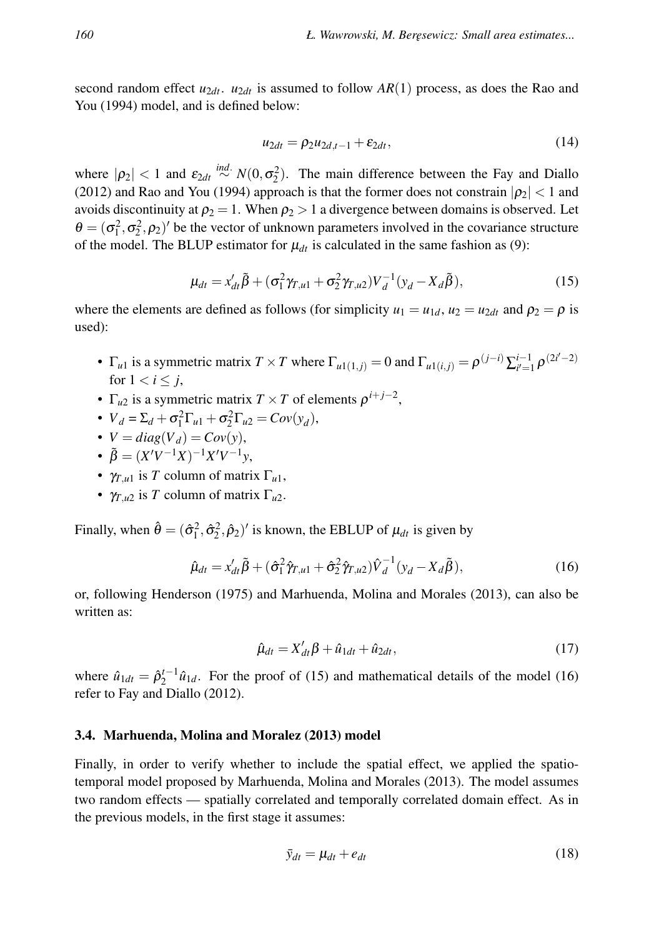second random effect  $u_{2dt}$ .  $u_{2dt}$  is assumed to follow  $AR(1)$  process, as does the Rao and You (1994) model, and is defined below:

$$
u_{2dt} = \rho_2 u_{2d,t-1} + \varepsilon_{2dt},\tag{14}
$$

where  $|\rho_2|$  < 1 and  $\varepsilon_{2dt} \stackrel{ind.}{\sim} N(0, \sigma_2^2)$ . The main difference between the Fay and Diallo (2012) and Rao and You (1994) approach is that the former does not constrain  $|\rho_2|$  < 1 and avoids discontinuity at  $\rho_2 = 1$ . When  $\rho_2 > 1$  a divergence between domains is observed. Let  $\theta = (\sigma_1^2, \sigma_2^2, \rho_2)'$  be the vector of unknown parameters involved in the covariance structure of the model. The BLUP estimator for  $\mu_{dt}$  is calculated in the same fashion as (9):

$$
\mu_{dt} = x'_{dt} \tilde{\beta} + (\sigma_1^2 \gamma_{T,u1} + \sigma_2^2 \gamma_{T,u2}) V_d^{-1} (y_d - X_d \tilde{\beta}),
$$
\n(15)

where the elements are defined as follows (for simplicity  $u_1 = u_{1d}$ ,  $u_2 = u_{2dt}$  and  $\rho_2 = \rho$  is used):

- $\Gamma_{u1}$  is a symmetric matrix  $T \times T$  where  $\Gamma_{u1(1,j)} = 0$  and  $\Gamma_{u1(i,j)} = \rho^{(j-i)} \sum_{i'=1}^{i-1} \rho^{(2i'-2)}$ for  $1 < i \leq j$ ,
- $\Gamma_{u2}$  is a symmetric matrix  $T \times T$  of elements  $\rho^{i+j-2}$ ,
- $V_d = \Sigma_d + \sigma_1^2 \Gamma_{u1} + \sigma_2^2 \Gamma_{u2} = Cov(y_d),$
- $V = diag(V_d) = Cov(y)$ ,
- $\tilde{\beta} = (X'V^{-1}X)^{-1}X'V^{-1}y,$
- $\gamma_{T,u}$  is *T* column of matrix  $\Gamma_{u}$ ,
- $\gamma_{T,u2}$  is *T* column of matrix  $\Gamma_{u2}$ .

Finally, when  $\hat{\theta} = (\hat{\sigma}_1^2, \hat{\sigma}_2^2, \hat{\rho}_2)'$  is known, the EBLUP of  $\mu_{dt}$  is given by

$$
\hat{\mu}_{dt} = x'_{dt}\tilde{\beta} + (\hat{\sigma}_1^2 \hat{\gamma}_{T,u1} + \hat{\sigma}_2^2 \hat{\gamma}_{T,u2})\hat{V}_d^{-1}(y_d - X_d\tilde{\beta}),\tag{16}
$$

or, following Henderson (1975) and Marhuenda, Molina and Morales (2013), can also be written as:

$$
\hat{\mu}_{dt} = X'_{dt}\beta + \hat{u}_{1dt} + \hat{u}_{2dt},\tag{17}
$$

where  $\hat{u}_{1dt} = \hat{\rho}_2^{t-1} \hat{u}_{1d}$ . For the proof of (15) and mathematical details of the model (16) refer to Fay and Diallo (2012).

#### 3.4. Marhuenda, Molina and Moralez (2013) model

Finally, in order to verify whether to include the spatial effect, we applied the spatiotemporal model proposed by Marhuenda, Molina and Morales (2013). The model assumes two random effects — spatially correlated and temporally correlated domain effect. As in the previous models, in the first stage it assumes:

$$
\bar{y}_{dt} = \mu_{dt} + e_{dt} \tag{18}
$$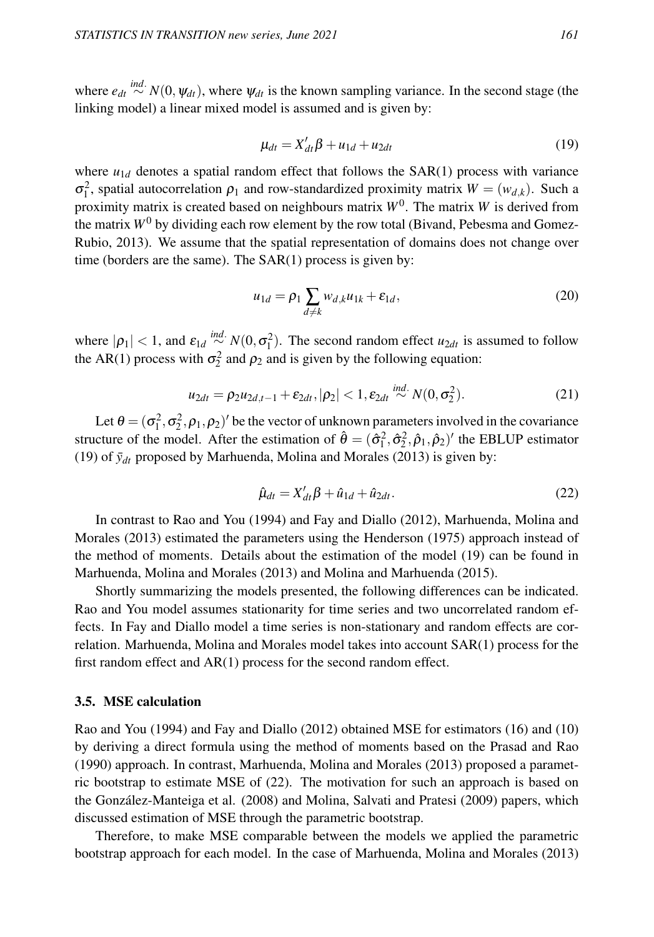where  $e_{dt} \stackrel{ind.}{\sim} N(0, \psi_{dt})$ , where  $\psi_{dt}$  is the known sampling variance. In the second stage (the linking model) a linear mixed model is assumed and is given by:

$$
\mu_{dt} = X'_{dt}\beta + u_{1d} + u_{2dt} \tag{19}
$$

where  $u_{1d}$  denotes a spatial random effect that follows the SAR(1) process with variance σ<sup>2</sup>, spatial autocorrelation  $ρ_1$  and row-standardized proximity matrix  $W = (w_{d,k})$ . Such a proximity matrix is created based on neighbours matrix *W*<sup>0</sup> . The matrix *W* is derived from the matrix  $W^0$  by dividing each row element by the row total (Bivand, Pebesma and Gomez-Rubio, 2013). We assume that the spatial representation of domains does not change over time (borders are the same). The SAR(1) process is given by:

$$
u_{1d} = \rho_1 \sum_{d \neq k} w_{d,k} u_{1k} + \varepsilon_{1d},\tag{20}
$$

where  $|\rho_1| < 1$ , and  $\varepsilon_{1d} \stackrel{ind.}{\sim} N(0, \sigma_1^2)$ . The second random effect  $u_{2dt}$  is assumed to follow the AR(1) process with  $\sigma_2^2$  and  $\rho_2$  and is given by the following equation:

$$
u_{2dt} = \rho_2 u_{2d,t-1} + \varepsilon_{2dt}, |\rho_2| < 1, \varepsilon_{2dt} \stackrel{ind.}{\sim} N(0, \sigma_2^2). \tag{21}
$$

Let  $\theta = (\sigma_1^2, \sigma_2^2, \rho_1, \rho_2)'$  be the vector of unknown parameters involved in the covariance structure of the model. After the estimation of  $\hat{\theta} = (\hat{\sigma}_1^2, \hat{\sigma}_2^2, \hat{\rho}_1, \hat{\rho}_2)'$  the EBLUP estimator (19) of  $\bar{y}_{dt}$  proposed by Marhuenda, Molina and Morales (2013) is given by:

$$
\hat{\mu}_{dt} = X'_{dt}\beta + \hat{u}_{1d} + \hat{u}_{2dt}.
$$
\n(22)

In contrast to Rao and You (1994) and Fay and Diallo (2012), Marhuenda, Molina and Morales (2013) estimated the parameters using the Henderson (1975) approach instead of the method of moments. Details about the estimation of the model (19) can be found in Marhuenda, Molina and Morales (2013) and Molina and Marhuenda (2015).

Shortly summarizing the models presented, the following differences can be indicated. Rao and You model assumes stationarity for time series and two uncorrelated random effects. In Fay and Diallo model a time series is non-stationary and random effects are correlation. Marhuenda, Molina and Morales model takes into account SAR(1) process for the first random effect and AR(1) process for the second random effect.

#### 3.5. MSE calculation

Rao and You (1994) and Fay and Diallo (2012) obtained MSE for estimators (16) and (10) by deriving a direct formula using the method of moments based on the Prasad and Rao (1990) approach. In contrast, Marhuenda, Molina and Morales (2013) proposed a parametric bootstrap to estimate MSE of (22). The motivation for such an approach is based on the González-Manteiga et al. (2008) and Molina, Salvati and Pratesi (2009) papers, which discussed estimation of MSE through the parametric bootstrap.

Therefore, to make MSE comparable between the models we applied the parametric bootstrap approach for each model. In the case of Marhuenda, Molina and Morales (2013)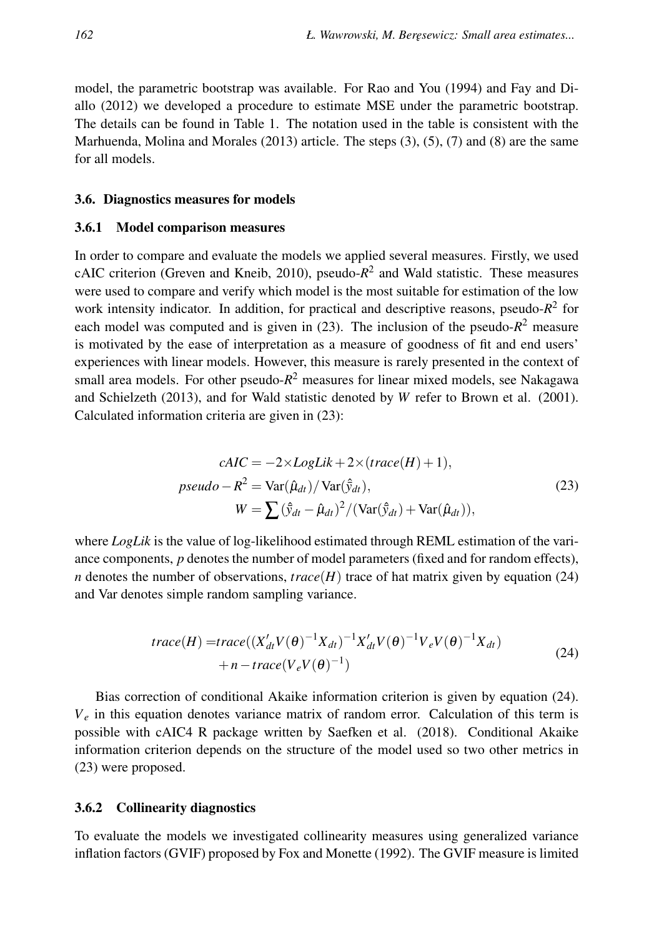model, the parametric bootstrap was available. For Rao and You (1994) and Fay and Diallo (2012) we developed a procedure to estimate MSE under the parametric bootstrap. The details can be found in Table 1. The notation used in the table is consistent with the Marhuenda, Molina and Morales  $(2013)$  article. The steps  $(3)$ ,  $(5)$ ,  $(7)$  and  $(8)$  are the same for all models.

#### 3.6. Diagnostics measures for models

#### 3.6.1 Model comparison measures

In order to compare and evaluate the models we applied several measures. Firstly, we used cAIC criterion (Greven and Kneib, 2010), pseudo-*R* 2 and Wald statistic. These measures were used to compare and verify which model is the most suitable for estimation of the low work intensity indicator. In addition, for practical and descriptive reasons, pseudo- $R^2$  for each model was computed and is given in  $(23)$ . The inclusion of the pseudo- $R^2$  measure is motivated by the ease of interpretation as a measure of goodness of fit and end users' experiences with linear models. However, this measure is rarely presented in the context of small area models. For other pseudo-*R* <sup>2</sup> measures for linear mixed models, see Nakagawa and Schielzeth (2013), and for Wald statistic denoted by *W* refer to Brown et al. (2001). Calculated information criteria are given in (23):

$$
cAIC = -2 \times LogLik + 2 \times (trace(H) + 1),
$$
  
\n
$$
pseudo - R^{2} = Var(\hat{\mu}_{dt}) / Var(\hat{y}_{dt}),
$$
  
\n
$$
W = \sum (\hat{y}_{dt} - \hat{\mu}_{dt})^{2} / (Var(\hat{y}_{dt}) + Var(\hat{\mu}_{dt})),
$$
\n(23)

where *LogLik* is the value of log-likelihood estimated through REML estimation of the variance components, *p* denotes the number of model parameters (fixed and for random effects), *n* denotes the number of observations,  $trace(H)$  trace of hat matrix given by equation (24) and Var denotes simple random sampling variance.

$$
trace(H) = trace((X'_{dt}V(\theta)^{-1}X_{dt})^{-1}X'_{dt}V(\theta)^{-1}V_{e}V(\theta)^{-1}X_{dt})
$$
  
+ n - trace(V<sub>e</sub>V(\theta)^{-1}) (24)

Bias correction of conditional Akaike information criterion is given by equation (24).  $V_e$  in this equation denotes variance matrix of random error. Calculation of this term is possible with cAIC4 R package written by Saefken et al. (2018). Conditional Akaike information criterion depends on the structure of the model used so two other metrics in (23) were proposed.

### 3.6.2 Collinearity diagnostics

To evaluate the models we investigated collinearity measures using generalized variance inflation factors (GVIF) proposed by Fox and Monette (1992). The GVIF measure is limited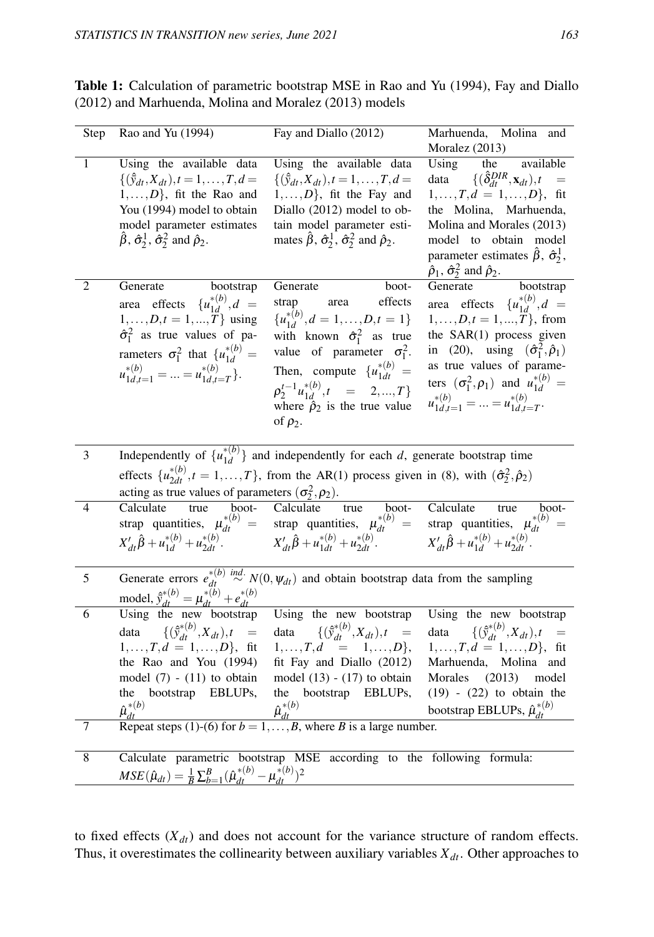| Step           | Rao and Yu (1994)                                                                                                                                                                                                                                              | Fay and Diallo (2012)                                                                                                                                                                                                                                                                                          | Marhuenda, Molina and<br>Moralez (2013)                                                                                                                                                                                                                                                                                                   |  |  |
|----------------|----------------------------------------------------------------------------------------------------------------------------------------------------------------------------------------------------------------------------------------------------------------|----------------------------------------------------------------------------------------------------------------------------------------------------------------------------------------------------------------------------------------------------------------------------------------------------------------|-------------------------------------------------------------------------------------------------------------------------------------------------------------------------------------------------------------------------------------------------------------------------------------------------------------------------------------------|--|--|
| $\mathbf{1}$   | Using the available data<br>$\{(\hat{y}_{dt}, X_{dt}), t = 1, \ldots, T, d =$<br>$1, \ldots, D\}$ , fit the Rao and<br>You (1994) model to obtain<br>model parameter estimates<br>$\hat{\beta}$ , $\hat{\sigma}_2^1$ , $\hat{\sigma}_2^2$ and $\hat{\rho}_2$ . | Using the available data<br>$\{(\hat{y}_{dt}, X_{dt}), t = 1, \ldots, T, d =$<br>$1, \ldots, D$ , fit the Fay and<br>Diallo (2012) model to ob-<br>tain model parameter esti-<br>mates $\hat{\beta}$ , $\hat{\sigma}_2^1$ , $\hat{\sigma}_2^2$ and $\hat{\rho}_2$ .                                            | available<br>Using<br>the<br>data $\{(\hat{\delta}_{dt}^{DIR}, \mathbf{x}_{dt}), t =$<br>$1, \ldots, T, d = 1, \ldots, D\}$ , fit<br>the Molina, Marhuenda,<br>Molina and Morales (2013)<br>model to obtain model<br>parameter estimates $\hat{\beta}$ , $\hat{\sigma}_2^1$ ,<br>$\hat{\rho}_1$ , $\hat{\sigma}_2^2$ and $\hat{\rho}_2$ . |  |  |
| 2              | bootstrap<br>Generate<br>area effects $\{u_{1d}^{*(b)}, d =$<br>$1, , D, t = 1, , \bar{T}$ using<br>$\hat{\sigma}_1^2$ as true values of pa-<br>rameters $\sigma_1^2$ that $\{u_{1d}^{*(b)} =$<br>$u_{1d,t=1}^{*(b)} =  = u_{1d,t=T}^{*(b)}$                   | Generate<br>boot-<br>effects<br>area<br>strap<br>${u_{1d}^{*(b)}, d = 1, , D, t = 1}$<br>with known $\hat{\sigma}_1^2$ as true<br>value of parameter $\sigma_1^2$ .<br>Then, compute $\{u_{1dt}^{*(b)} =$<br>$\rho_2^{t-1} u_{1d}^{*(b)}, t = 2,,T$<br>where $\hat{\rho}_2$ is the true value<br>of $\rho_2$ . | Generate<br>bootstrap<br>area effects $\{u_{1d}^{*(b)}, d =$<br>$1, \ldots, D, t = 1, \ldots, T$ , from<br>the SAR(1) process given<br>in (20), using $(\hat{\sigma}_1^2, \hat{\rho}_1)$<br>as true values of parame-<br>ters $(\sigma_1^2, \rho_1)$ and $u_{1d}^{*(b)} =$<br>$u_{1d,t=1}^{*(b)} =  = u_{1d,t=T}^{*(b)}$ .                |  |  |
| 3              |                                                                                                                                                                                                                                                                | Independently of $\{u_{1d}^{*(b)}\}$ and independently for each d, generate bootstrap time                                                                                                                                                                                                                     |                                                                                                                                                                                                                                                                                                                                           |  |  |
|                | effects $\{u_{2dt}^{*(b)}, t = 1, , T\}$ , from the AR(1) process given in (8), with $(\hat{\sigma}_2^2, \hat{\rho}_2)$<br>acting as true values of parameters $(\sigma_2^2, \rho_2)$ .                                                                        |                                                                                                                                                                                                                                                                                                                |                                                                                                                                                                                                                                                                                                                                           |  |  |
| $\overline{4}$ |                                                                                                                                                                                                                                                                | Calculate true boot- Calculate true boot- Calculate true boot-<br>strap quantities, $\mu_{dt}^{*(b)} =$ strap quantities, $\mu_{dt}^{*(b)} =$ strap quantities, $\mu_{dt}^{*(b)} =$ $X'_{dt} \hat{\beta} + u_{1d}^{*(b)} + u_{2dt}^{*(b)}$ .<br>$X'_{dt} \hat{\beta} + u_{1d}^{*(b)} + u_{2dt}^{*(b)}$         | Calculate<br>boot-                                                                                                                                                                                                                                                                                                                        |  |  |
| 5              |                                                                                                                                                                                                                                                                | Generate errors $e_{dt}^{*(b)} \stackrel{ind.}{\sim} N(0, \psi_{dt})$ and obtain bootstrap data from the sampling<br>model, $\hat{y}_{dt}^{*(b)} = \mu_{dt}^{*(b)} + e_{dt}^{*(b)}$<br>Using the new bootstrap Using the new bootstrap Using the new bootstrap                                                 |                                                                                                                                                                                                                                                                                                                                           |  |  |
| 6<br>7         | data $\{(\hat{y}_{dt}^{*(b)}, X_{dt}), t =$<br>$1, \ldots, T, d = 1, \ldots, D\}$ , fit<br>the Rao and You (1994)<br>model $(7)$ - $(11)$ to obtain<br>the bootstrap EBLUPs,<br>$\hat{\mu}_{dt}^{*(b)}$                                                        | data $\{(\hat{y}_{dt}^{*(b)}, X_{dt}), t =$<br>$1, \ldots, T, d = 1, \ldots, D\},$<br>fit Fay and Diallo (2012)<br>model $(13) - (17)$ to obtain<br>the<br>bootstrap EBLUPs,<br>$\hat{\mu}_{dt}^{*(b)}$<br>Repeat steps (1)-(6) for $b = 1, , B$ , where B is a large number.                                  | Using the new bootstrap<br>data $\{(\hat{y}_{dt}^{*(b)}, X_{dt}), t =$<br>$1, \ldots, T, d = 1, \ldots, D\}$ , fit<br>Marhuenda, Molina and<br>Morales (2013) model<br>$(19)$ - $(22)$ to obtain the<br>bootstrap EBLUPs, $\hat{\mu}_{dt}^{*(b)}$                                                                                         |  |  |
| 8              |                                                                                                                                                                                                                                                                |                                                                                                                                                                                                                                                                                                                |                                                                                                                                                                                                                                                                                                                                           |  |  |
|                | $MSE(\hat{\mu}_{dt}) = \frac{1}{B} \sum_{b=1}^{B} (\hat{\mu}_{dt}^{*(b)} - \mu_{dt}^{*(b)})^2$                                                                                                                                                                 | Calculate parametric bootstrap MSE according to the following formula:                                                                                                                                                                                                                                         |                                                                                                                                                                                                                                                                                                                                           |  |  |

Table 1: Calculation of parametric bootstrap MSE in Rao and Yu (1994), Fay and Diallo (2012) and Marhuenda, Molina and Moralez (2013) models

to fixed effects  $(X_{dt})$  and does not account for the variance structure of random effects. Thus, it overestimates the collinearity between auxiliary variables *Xdt*. Other approaches to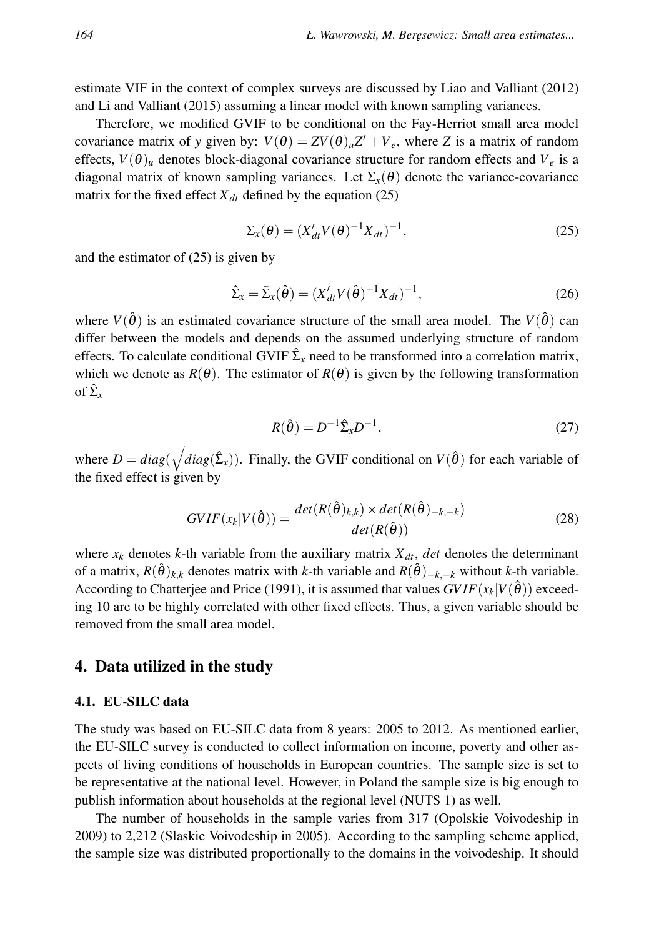estimate VIF in the context of complex surveys are discussed by Liao and Valliant (2012) and Li and Valliant (2015) assuming a linear model with known sampling variances.

Therefore, we modified GVIF to be conditional on the Fay-Herriot small area model covariance matrix of *y* given by:  $V(\theta) = ZV(\theta)_u Z' + V_e$ , where *Z* is a matrix of random effects,  $V(\theta)$ <sub>*u*</sub> denotes block-diagonal covariance structure for random effects and  $V_e$  is a diagonal matrix of known sampling variances. Let  $\Sigma_{\rm x}(\theta)$  denote the variance-covariance matrix for the fixed effect  $X_{dt}$  defined by the equation (25)

$$
\Sigma_x(\theta) = (X'_{dt} V(\theta)^{-1} X_{dt})^{-1},
$$
\n(25)

and the estimator of (25) is given by

$$
\hat{\Sigma}_x = \tilde{\Sigma}_x(\hat{\theta}) = (X'_{dt} V(\hat{\theta})^{-1} X_{dt})^{-1},
$$
\n(26)

where  $V(\hat{\theta})$  is an estimated covariance structure of the small area model. The  $V(\hat{\theta})$  can differ between the models and depends on the assumed underlying structure of random effects. To calculate conditional GVIF  $\hat{\Sigma}_x$  need to be transformed into a correlation matrix, which we denote as  $R(\theta)$ . The estimator of  $R(\theta)$  is given by the following transformation of  $\hat{\Sigma}_x$ 

$$
R(\hat{\theta}) = D^{-1} \hat{\Sigma}_x D^{-1},\tag{27}
$$

where  $D = diag(\sqrt{diag(\hat{\Sigma}_x)})$ . Finally, the GVIF conditional on  $V(\hat{\theta})$  for each variable of the fixed effect is given by

$$
GVIF(x_k|V(\hat{\theta})) = \frac{det(R(\hat{\theta})_{k,k}) \times det(R(\hat{\theta})_{-k,-k})}{det(R(\hat{\theta}))}
$$
(28)

where  $x_k$  denotes *k*-th variable from the auxiliary matrix  $X_{dt}$ , *det* denotes the determinant of a matrix,  $R(\hat{\theta})_{k,k}$  denotes matrix with *k*-th variable and  $R(\hat{\theta})_{-k,-k}$  without *k*-th variable. According to Chatterjee and Price (1991), it is assumed that values  $GVIF(x_k|V(\hat{\theta}))$  exceeding 10 are to be highly correlated with other fixed effects. Thus, a given variable should be removed from the small area model.

# 4. Data utilized in the study

#### 4.1. EU-SILC data

The study was based on EU-SILC data from 8 years: 2005 to 2012. As mentioned earlier, the EU-SILC survey is conducted to collect information on income, poverty and other aspects of living conditions of households in European countries. The sample size is set to be representative at the national level. However, in Poland the sample size is big enough to publish information about households at the regional level (NUTS 1) as well.

The number of households in the sample varies from 317 (Opolskie Voivodeship in 2009) to 2,212 (Slaskie Voivodeship in 2005). According to the sampling scheme applied, the sample size was distributed proportionally to the domains in the voivodeship. It should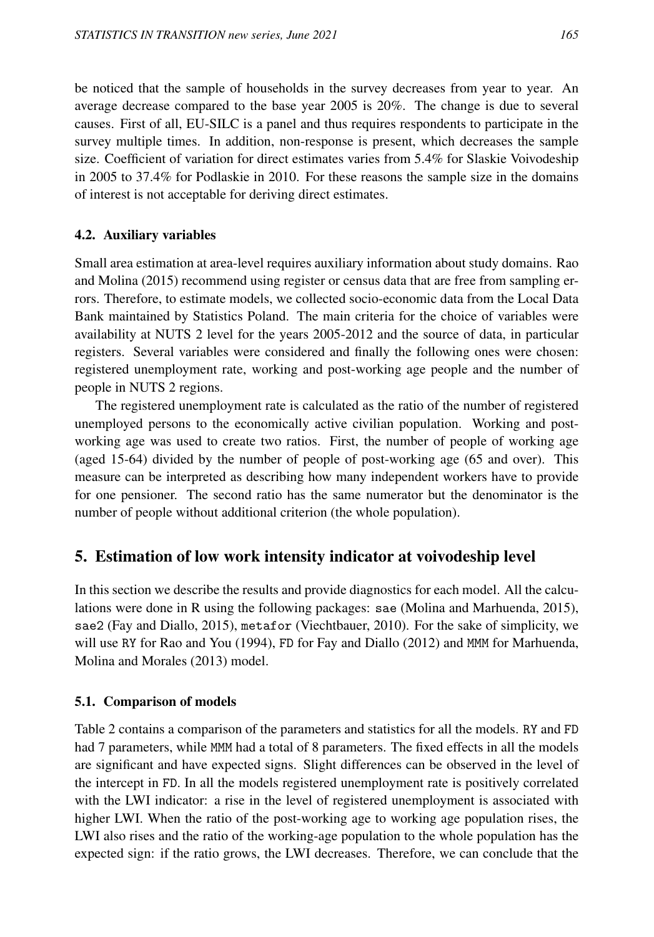be noticed that the sample of households in the survey decreases from year to year. An average decrease compared to the base year 2005 is 20%. The change is due to several causes. First of all, EU-SILC is a panel and thus requires respondents to participate in the survey multiple times. In addition, non-response is present, which decreases the sample size. Coefficient of variation for direct estimates varies from 5.4% for Slaskie Voivodeship in 2005 to 37.4% for Podlaskie in 2010. For these reasons the sample size in the domains of interest is not acceptable for deriving direct estimates.

# 4.2. Auxiliary variables

Small area estimation at area-level requires auxiliary information about study domains. Rao and Molina (2015) recommend using register or census data that are free from sampling errors. Therefore, to estimate models, we collected socio-economic data from the Local Data Bank maintained by Statistics Poland. The main criteria for the choice of variables were availability at NUTS 2 level for the years 2005-2012 and the source of data, in particular registers. Several variables were considered and finally the following ones were chosen: registered unemployment rate, working and post-working age people and the number of people in NUTS 2 regions.

The registered unemployment rate is calculated as the ratio of the number of registered unemployed persons to the economically active civilian population. Working and postworking age was used to create two ratios. First, the number of people of working age (aged 15-64) divided by the number of people of post-working age (65 and over). This measure can be interpreted as describing how many independent workers have to provide for one pensioner. The second ratio has the same numerator but the denominator is the number of people without additional criterion (the whole population).

# 5. Estimation of low work intensity indicator at voivodeship level

In this section we describe the results and provide diagnostics for each model. All the calculations were done in R using the following packages: sae (Molina and Marhuenda, 2015), sae2 (Fay and Diallo, 2015), metafor (Viechtbauer, 2010). For the sake of simplicity, we will use RY for Rao and You (1994), FD for Fay and Diallo (2012) and MMM for Marhuenda, Molina and Morales (2013) model.

# 5.1. Comparison of models

Table 2 contains a comparison of the parameters and statistics for all the models. RY and FD had 7 parameters, while MMM had a total of 8 parameters. The fixed effects in all the models are significant and have expected signs. Slight differences can be observed in the level of the intercept in FD. In all the models registered unemployment rate is positively correlated with the LWI indicator: a rise in the level of registered unemployment is associated with higher LWI. When the ratio of the post-working age to working age population rises, the LWI also rises and the ratio of the working-age population to the whole population has the expected sign: if the ratio grows, the LWI decreases. Therefore, we can conclude that the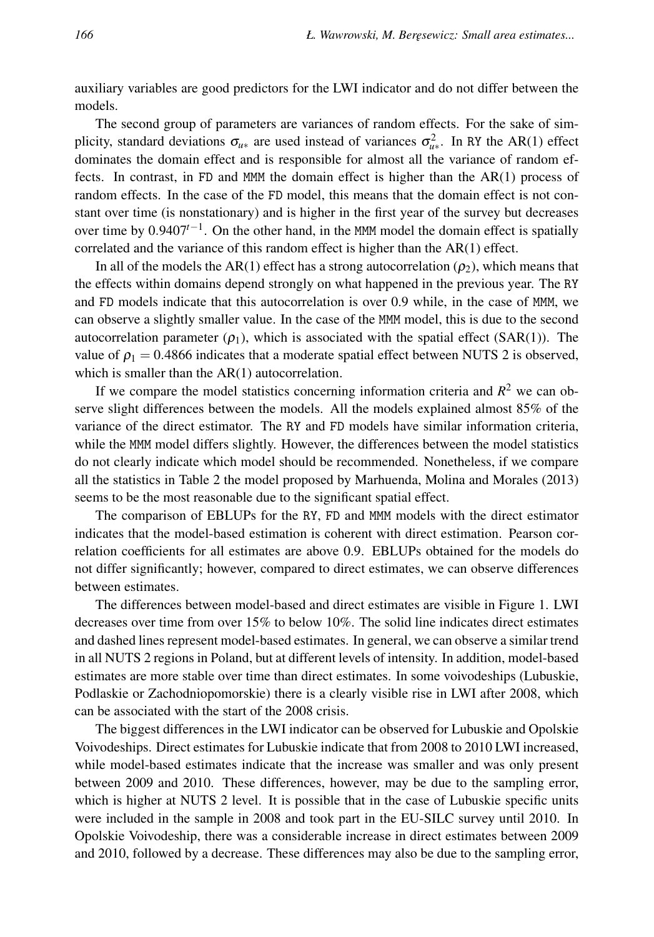auxiliary variables are good predictors for the LWI indicator and do not differ between the models.

The second group of parameters are variances of random effects. For the sake of simplicity, standard deviations  $\sigma_{u*}$  are used instead of variances  $\sigma_{u*}^2$ . In RY the AR(1) effect dominates the domain effect and is responsible for almost all the variance of random effects. In contrast, in FD and MMM the domain effect is higher than the AR(1) process of random effects. In the case of the FD model, this means that the domain effect is not constant over time (is nonstationary) and is higher in the first year of the survey but decreases over time by 0.9407*t*−<sup>1</sup> . On the other hand, in the MMM model the domain effect is spatially correlated and the variance of this random effect is higher than the AR(1) effect.

In all of the models the AR(1) effect has a strong autocorrelation ( $\rho_2$ ), which means that the effects within domains depend strongly on what happened in the previous year. The RY and FD models indicate that this autocorrelation is over 0.9 while, in the case of MMM, we can observe a slightly smaller value. In the case of the MMM model, this is due to the second autocorrelation parameter  $(\rho_1)$ , which is associated with the spatial effect (SAR(1)). The value of  $\rho_1 = 0.4866$  indicates that a moderate spatial effect between NUTS 2 is observed, which is smaller than the AR(1) autocorrelation.

If we compare the model statistics concerning information criteria and  $R^2$  we can observe slight differences between the models. All the models explained almost 85% of the variance of the direct estimator. The RY and FD models have similar information criteria, while the MMM model differs slightly. However, the differences between the model statistics do not clearly indicate which model should be recommended. Nonetheless, if we compare all the statistics in Table 2 the model proposed by Marhuenda, Molina and Morales (2013) seems to be the most reasonable due to the significant spatial effect.

The comparison of EBLUPs for the RY, FD and MMM models with the direct estimator indicates that the model-based estimation is coherent with direct estimation. Pearson correlation coefficients for all estimates are above 0.9. EBLUPs obtained for the models do not differ significantly; however, compared to direct estimates, we can observe differences between estimates.

The differences between model-based and direct estimates are visible in Figure 1. LWI decreases over time from over 15% to below 10%. The solid line indicates direct estimates and dashed lines represent model-based estimates. In general, we can observe a similar trend in all NUTS 2 regions in Poland, but at different levels of intensity. In addition, model-based estimates are more stable over time than direct estimates. In some voivodeships (Lubuskie, Podlaskie or Zachodniopomorskie) there is a clearly visible rise in LWI after 2008, which can be associated with the start of the 2008 crisis.

The biggest differences in the LWI indicator can be observed for Lubuskie and Opolskie Voivodeships. Direct estimates for Lubuskie indicate that from 2008 to 2010 LWI increased, while model-based estimates indicate that the increase was smaller and was only present between 2009 and 2010. These differences, however, may be due to the sampling error, which is higher at NUTS 2 level. It is possible that in the case of Lubuskie specific units were included in the sample in 2008 and took part in the EU-SILC survey until 2010. In Opolskie Voivodeship, there was a considerable increase in direct estimates between 2009 and 2010, followed by a decrease. These differences may also be due to the sampling error,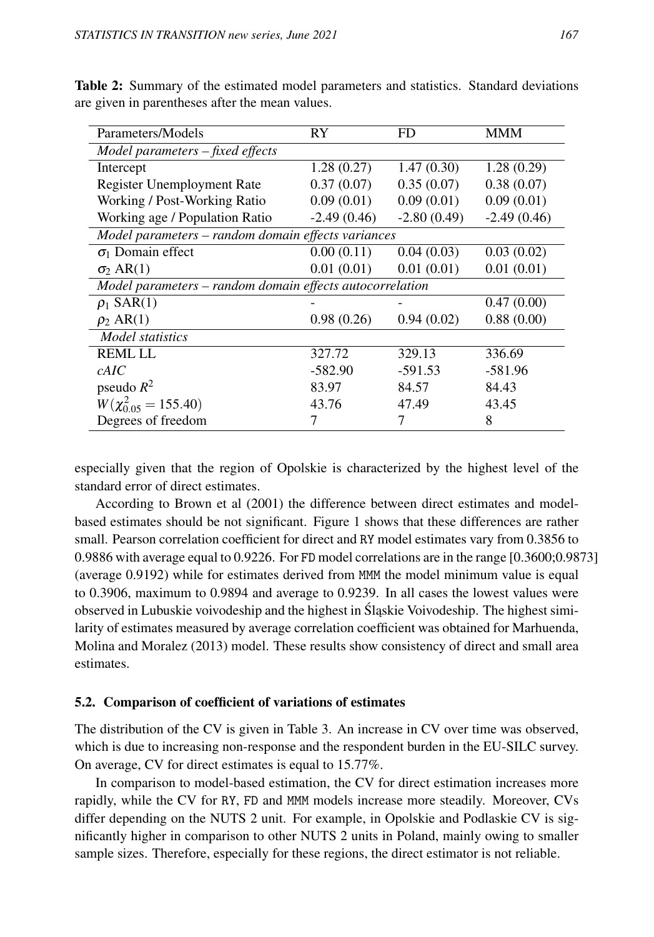| Parameters/Models                                        | RY            | FD            | <b>MMM</b>    |  |  |
|----------------------------------------------------------|---------------|---------------|---------------|--|--|
| Model parameters - fixed effects                         |               |               |               |  |  |
| Intercept                                                | 1.28(0.27)    | 1.47(0.30)    | 1.28(0.29)    |  |  |
| <b>Register Unemployment Rate</b>                        | 0.37(0.07)    | 0.35(0.07)    | 0.38(0.07)    |  |  |
| Working / Post-Working Ratio                             | 0.09(0.01)    | 0.09(0.01)    | 0.09(0.01)    |  |  |
| Working age / Population Ratio                           | $-2.49(0.46)$ | $-2.80(0.49)$ | $-2.49(0.46)$ |  |  |
| Model parameters - random domain effects variances       |               |               |               |  |  |
| $\sigma_1$ Domain effect                                 | 0.00(0.11)    | 0.04(0.03)    | 0.03(0.02)    |  |  |
| $\sigma_2 AR(1)$                                         | 0.01(0.01)    | 0.01(0.01)    | 0.01(0.01)    |  |  |
| Model parameters - random domain effects autocorrelation |               |               |               |  |  |
| $\rho_1$ SAR(1)                                          |               |               | 0.47(0.00)    |  |  |
| $\rho_2 AR(1)$                                           | 0.98(0.26)    | 0.94(0.02)    | 0.88(0.00)    |  |  |
| Model statistics                                         |               |               |               |  |  |
| <b>REMLILL</b>                                           | 327.72        | 329.13        | 336.69        |  |  |
| cAIC                                                     | $-582.90$     | $-591.53$     | $-581.96$     |  |  |
| pseudo $R^2$                                             | 83.97         | 84.57         | 84.43         |  |  |
| $W(\chi_{0.05}^2 = 155.40)$                              | 43.76         | 47.49         | 43.45         |  |  |
| Degrees of freedom                                       | 7             |               | 8             |  |  |

Table 2: Summary of the estimated model parameters and statistics. Standard deviations are given in parentheses after the mean values.

especially given that the region of Opolskie is characterized by the highest level of the standard error of direct estimates.

According to Brown et al (2001) the difference between direct estimates and modelbased estimates should be not significant. Figure 1 shows that these differences are rather small. Pearson correlation coefficient for direct and RY model estimates vary from 0.3856 to 0.9886 with average equal to 0.9226. For FD model correlations are in the range [0.3600;0.9873] (average 0.9192) while for estimates derived from MMM the model minimum value is equal to 0.3906, maximum to 0.9894 and average to 0.9239. In all cases the lowest values were observed in Lubuskie voivodeship and the highest in Śląskie Voivodeship. The highest similarity of estimates measured by average correlation coefficient was obtained for Marhuenda, Molina and Moralez (2013) model. These results show consistency of direct and small area estimates.

### 5.2. Comparison of coefficient of variations of estimates

The distribution of the CV is given in Table 3. An increase in CV over time was observed, which is due to increasing non-response and the respondent burden in the EU-SILC survey. On average, CV for direct estimates is equal to 15.77%.

In comparison to model-based estimation, the CV for direct estimation increases more rapidly, while the CV for RY, FD and MMM models increase more steadily. Moreover, CVs differ depending on the NUTS 2 unit. For example, in Opolskie and Podlaskie CV is significantly higher in comparison to other NUTS 2 units in Poland, mainly owing to smaller sample sizes. Therefore, especially for these regions, the direct estimator is not reliable.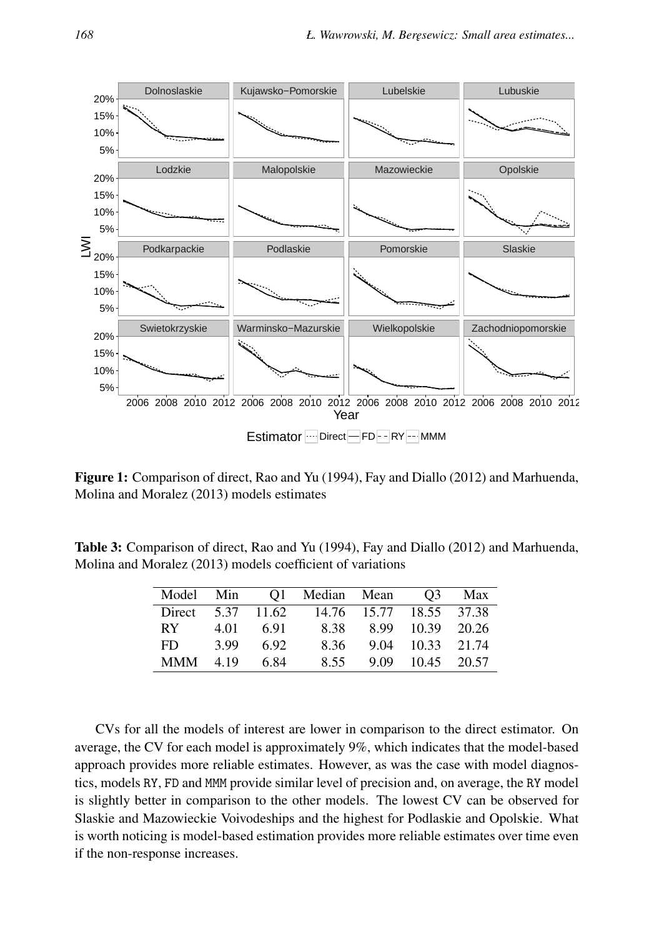

Figure 1: Comparison of direct, Rao and Yu (1994), Fay and Diallo (2012) and Marhuenda, Molina and Moralez (2013) models estimates

Table 3: Comparison of direct, Rao and Yu (1994), Fay and Diallo (2012) and Marhuenda, Molina and Moralez (2013) models coefficient of variations

| Model Min  |      |            | O1 Median Mean |                         | O <sub>3</sub>   | Max |
|------------|------|------------|----------------|-------------------------|------------------|-----|
| Direct     |      | 5.37 11.62 |                | 14.76 15.77 18.55 37.38 |                  |     |
| RY.        | 4.01 | 6.91       | 8.38           |                         | 8.99 10.39 20.26 |     |
| FD.        | 3.99 | 692        | 8.36           |                         | 9.04 10.33 21.74 |     |
| <b>MMM</b> | 4.19 | 6.84       | 8.55           |                         | 9.09 10.45 20.57 |     |

CVs for all the models of interest are lower in comparison to the direct estimator. On average, the CV for each model is approximately 9%, which indicates that the model-based approach provides more reliable estimates. However, as was the case with model diagnostics, models RY, FD and MMM provide similar level of precision and, on average, the RY model is slightly better in comparison to the other models. The lowest CV can be observed for Slaskie and Mazowieckie Voivodeships and the highest for Podlaskie and Opolskie. What is worth noticing is model-based estimation provides more reliable estimates over time even if the non-response increases.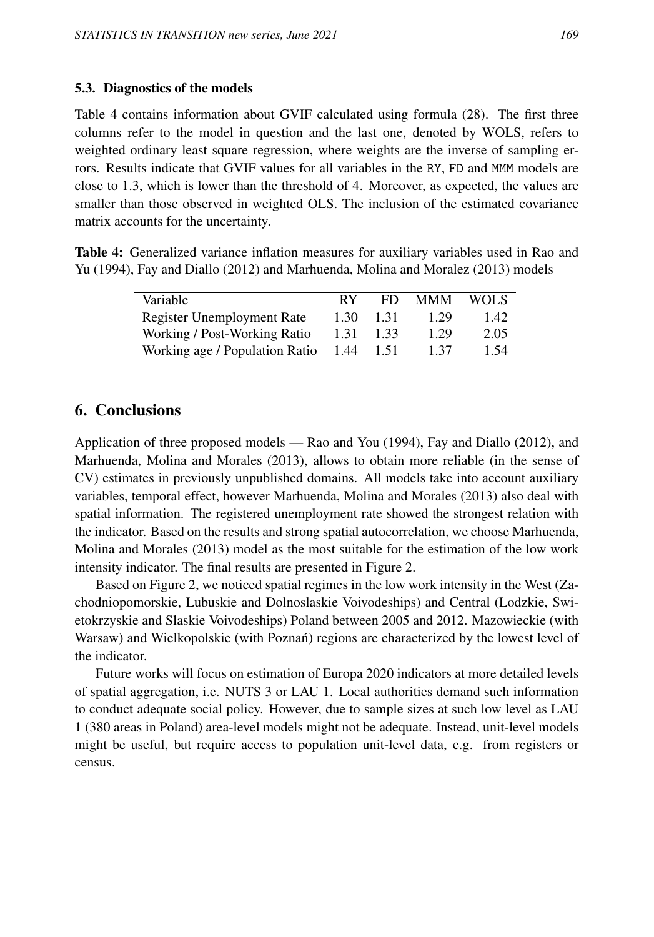### 5.3. Diagnostics of the models

Table 4 contains information about GVIF calculated using formula (28). The first three columns refer to the model in question and the last one, denoted by WOLS, refers to weighted ordinary least square regression, where weights are the inverse of sampling errors. Results indicate that GVIF values for all variables in the RY, FD and MMM models are close to 1.3, which is lower than the threshold of 4. Moreover, as expected, the values are smaller than those observed in weighted OLS. The inclusion of the estimated covariance matrix accounts for the uncertainty.

Table 4: Generalized variance inflation measures for auxiliary variables used in Rao and Yu (1994), Fay and Diallo (2012) and Marhuenda, Molina and Moralez (2013) models

| Variable                       | RY   | FD   | <b>MMM</b> | WOL S |
|--------------------------------|------|------|------------|-------|
| Register Unemployment Rate     | 1.30 | 1.31 | 1.29       | 1.42  |
| Working / Post-Working Ratio   | 1.31 | 1.33 | 1.29       | 2.05  |
| Working age / Population Ratio | 1.44 | 1.51 | 1 37       | 1.54  |

# 6. Conclusions

Application of three proposed models — Rao and You (1994), Fay and Diallo (2012), and Marhuenda, Molina and Morales (2013), allows to obtain more reliable (in the sense of CV) estimates in previously unpublished domains. All models take into account auxiliary variables, temporal effect, however Marhuenda, Molina and Morales (2013) also deal with spatial information. The registered unemployment rate showed the strongest relation with the indicator. Based on the results and strong spatial autocorrelation, we choose Marhuenda, Molina and Morales (2013) model as the most suitable for the estimation of the low work intensity indicator. The final results are presented in Figure 2.

Based on Figure 2, we noticed spatial regimes in the low work intensity in the West (Zachodniopomorskie, Lubuskie and Dolnoslaskie Voivodeships) and Central (Lodzkie, Swietokrzyskie and Slaskie Voivodeships) Poland between 2005 and 2012. Mazowieckie (with Warsaw) and Wielkopolskie (with Poznań) regions are characterized by the lowest level of the indicator.

Future works will focus on estimation of Europa 2020 indicators at more detailed levels of spatial aggregation, i.e. NUTS 3 or LAU 1. Local authorities demand such information to conduct adequate social policy. However, due to sample sizes at such low level as LAU 1 (380 areas in Poland) area-level models might not be adequate. Instead, unit-level models might be useful, but require access to population unit-level data, e.g. from registers or census.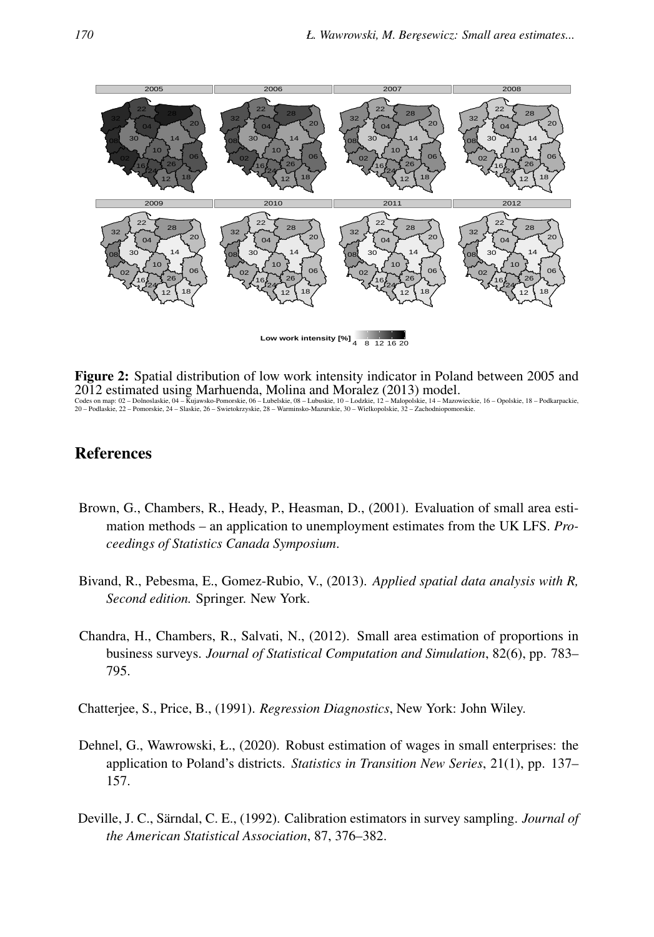

Figure 2: Spatial distribution of low work intensity indicator in Poland between 2005 and 2012 estimated using Marhuenda, Molina and Moralez (2013) model. Codes on map: 02 – Dolnoslaskie, 04 – Kujawsko-Pomorskie, 06 – Lubelskie, 08 – Lubuskie, 10 – Lodzkie, 12 – Malopolskie, 14 – Mazowieckie, 16 – Opolskie, 18 – Podkarpackie, 20 – Podlaskie, 22 – Pomorskie, 24 – Slaskie, 26 – Swietokrzyskie, 28 – Warminsko-Mazurskie, 30 – Wielkopolskie, 32 – Zachodniopomorskie.

# References

- Brown, G., Chambers, R., Heady, P., Heasman, D., (2001). Evaluation of small area estimation methods – an application to unemployment estimates from the UK LFS. *Proceedings of Statistics Canada Symposium*.
- Bivand, R., Pebesma, E., Gomez-Rubio, V., (2013). *Applied spatial data analysis with R, Second edition.* Springer. New York.
- Chandra, H., Chambers, R., Salvati, N., (2012). Small area estimation of proportions in business surveys. *Journal of Statistical Computation and Simulation*, 82(6), pp. 783– 795.
- Chatterjee, S., Price, B., (1991). *Regression Diagnostics*, New York: John Wiley.
- Dehnel, G., Wawrowski, Ł., (2020). Robust estimation of wages in small enterprises: the application to Poland's districts. *Statistics in Transition New Series*, 21(1), pp. 137– 157.
- Deville, J. C., Särndal, C. E., (1992). Calibration estimators in survey sampling. *Journal of the American Statistical Association*, 87, 376–382.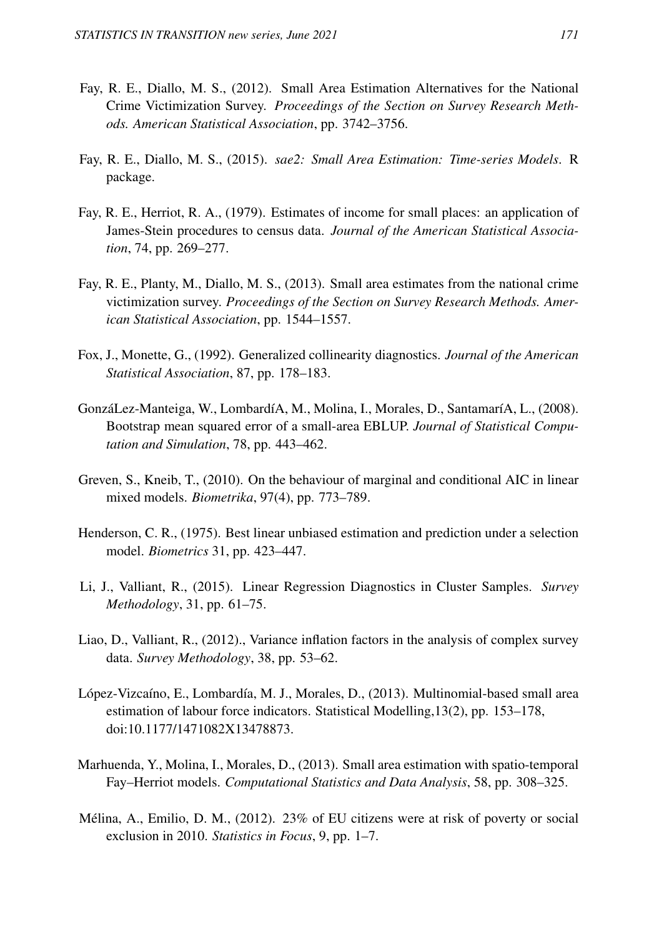- Fay, R. E., Diallo, M. S., (2012). Small Area Estimation Alternatives for the National Crime Victimization Survey. *Proceedings of the Section on Survey Research Methods. American Statistical Association*, pp. 3742–3756.
- Fay, R. E., Diallo, M. S., (2015). *sae2: Small Area Estimation: Time-series Models*. R package.
- Fay, R. E., Herriot, R. A., (1979). Estimates of income for small places: an application of James-Stein procedures to census data. *Journal of the American Statistical Association*, 74, pp. 269–277.
- Fay, R. E., Planty, M., Diallo, M. S., (2013). Small area estimates from the national crime victimization survey. *Proceedings of the Section on Survey Research Methods. American Statistical Association*, pp. 1544–1557.
- Fox, J., Monette, G., (1992). Generalized collinearity diagnostics. *Journal of the American Statistical Association*, 87, pp. 178–183.
- GonzáLez-Manteiga, W., LombardíA, M., Molina, I., Morales, D., SantamaríA, L., (2008). Bootstrap mean squared error of a small-area EBLUP. *Journal of Statistical Computation and Simulation*, 78, pp. 443–462.
- Greven, S., Kneib, T., (2010). On the behaviour of marginal and conditional AIC in linear mixed models. *Biometrika*, 97(4), pp. 773–789.
- Henderson, C. R., (1975). Best linear unbiased estimation and prediction under a selection model. *Biometrics* 31, pp. 423–447.
- Li, J., Valliant, R., (2015). Linear Regression Diagnostics in Cluster Samples. *Survey Methodology*, 31, pp. 61–75.
- Liao, D., Valliant, R., (2012)., Variance inflation factors in the analysis of complex survey data. *Survey Methodology*, 38, pp. 53–62.
- López-Vizcaíno, E., Lombardía, M. J., Morales, D., (2013). Multinomial-based small area estimation of labour force indicators. Statistical Modelling,13(2), pp. 153–178, doi:10.1177/1471082X13478873.
- Marhuenda, Y., Molina, I., Morales, D., (2013). Small area estimation with spatio-temporal Fay–Herriot models. *Computational Statistics and Data Analysis*, 58, pp. 308–325.
- Mélina, A., Emilio, D. M., (2012). 23% of EU citizens were at risk of poverty or social exclusion in 2010. *Statistics in Focus*, 9, pp. 1–7.